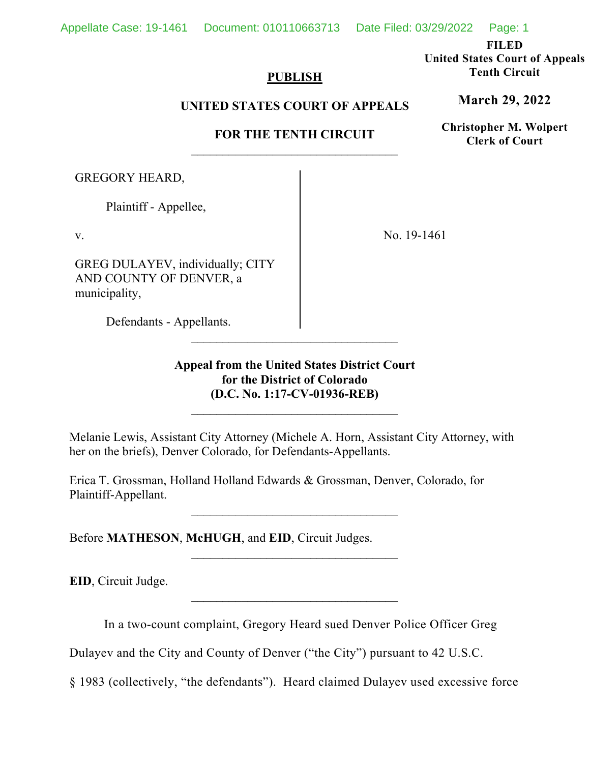**FILED**

**United States Court of Appeals Tenth Circuit**

## **PUBLISH**

# **UNITED STATES COURT OF APPEALS**

# **FOR THE TENTH CIRCUIT** \_\_\_\_\_\_\_\_\_\_\_\_\_\_\_\_\_\_\_\_\_\_\_\_\_\_\_\_\_\_\_\_\_

GREGORY HEARD,

Plaintiff - Appellee,

v.

GREG DULAYEV, individually; CITY AND COUNTY OF DENVER, a municipality,

No. 19-1461

Defendants - Appellants.

**Appeal from the United States District Court for the District of Colorado (D.C. No. 1:17-CV-01936-REB)**

\_\_\_\_\_\_\_\_\_\_\_\_\_\_\_\_\_\_\_\_\_\_\_\_\_\_\_\_\_\_\_\_\_

Melanie Lewis, Assistant City Attorney (Michele A. Horn, Assistant City Attorney, with her on the briefs), Denver Colorado, for Defendants-Appellants.

 $\overline{\phantom{a}}$  , where  $\overline{\phantom{a}}$  , where  $\overline{\phantom{a}}$  , where  $\overline{\phantom{a}}$ 

 $\overline{\phantom{a}}$  , where  $\overline{\phantom{a}}$  , where  $\overline{\phantom{a}}$  , where  $\overline{\phantom{a}}$ 

\_\_\_\_\_\_\_\_\_\_\_\_\_\_\_\_\_\_\_\_\_\_\_\_\_\_\_\_\_\_\_\_\_

Erica T. Grossman, Holland Holland Edwards & Grossman, Denver, Colorado, for Plaintiff-Appellant.

Before **MATHESON**, **McHUGH**, and **EID**, Circuit Judges.

**EID**, Circuit Judge.

In a two-count complaint, Gregory Heard sued Denver Police Officer Greg

Dulayev and the City and County of Denver ("the City") pursuant to 42 U.S.C.

§ 1983 (collectively, "the defendants"). Heard claimed Dulayev used excessive force

# **March 29, 2022**

**Christopher M. Wolpert Clerk of Court**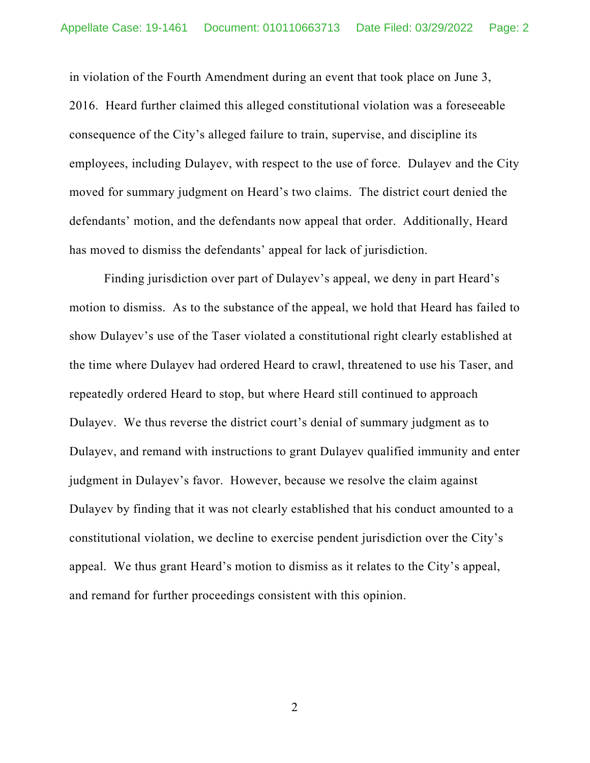in violation of the Fourth Amendment during an event that took place on June 3, 2016. Heard further claimed this alleged constitutional violation was a foreseeable consequence of the City's alleged failure to train, supervise, and discipline its employees, including Dulayev, with respect to the use of force. Dulayev and the City moved for summary judgment on Heard's two claims. The district court denied the defendants' motion, and the defendants now appeal that order. Additionally, Heard has moved to dismiss the defendants' appeal for lack of jurisdiction.

Finding jurisdiction over part of Dulayev's appeal, we deny in part Heard's motion to dismiss. As to the substance of the appeal, we hold that Heard has failed to show Dulayev's use of the Taser violated a constitutional right clearly established at the time where Dulayev had ordered Heard to crawl, threatened to use his Taser, and repeatedly ordered Heard to stop, but where Heard still continued to approach Dulayev. We thus reverse the district court's denial of summary judgment as to Dulayev, and remand with instructions to grant Dulayev qualified immunity and enter judgment in Dulayev's favor. However, because we resolve the claim against Dulayev by finding that it was not clearly established that his conduct amounted to a constitutional violation, we decline to exercise pendent jurisdiction over the City's appeal. We thus grant Heard's motion to dismiss as it relates to the City's appeal, and remand for further proceedings consistent with this opinion.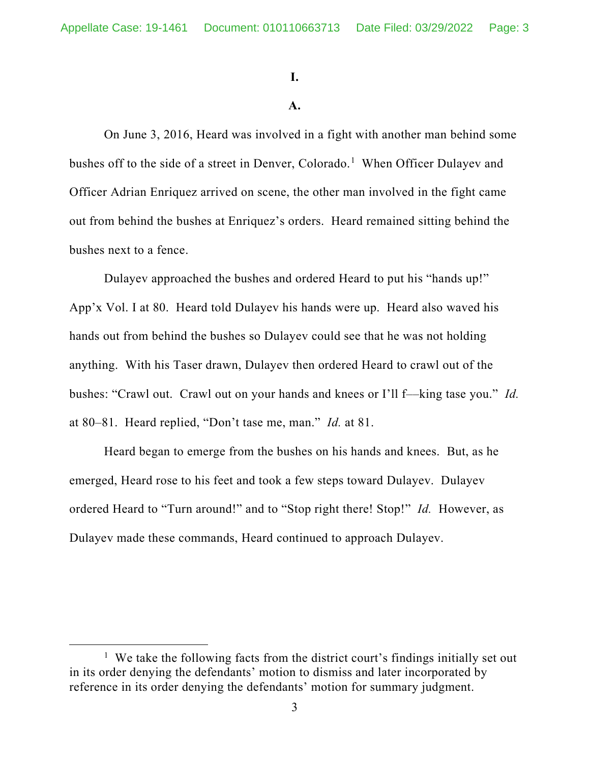**I.**

### **A.**

On June 3, 2016, Heard was involved in a fight with another man behind some bushes off to the side of a street in Denver, Colorado. [1](#page-2-0) When Officer Dulayev and Officer Adrian Enriquez arrived on scene, the other man involved in the fight came out from behind the bushes at Enriquez's orders. Heard remained sitting behind the bushes next to a fence.

Dulayev approached the bushes and ordered Heard to put his "hands up!" App'x Vol. I at 80. Heard told Dulayev his hands were up. Heard also waved his hands out from behind the bushes so Dulayev could see that he was not holding anything. With his Taser drawn, Dulayev then ordered Heard to crawl out of the bushes: "Crawl out. Crawl out on your hands and knees or I'll f––king tase you." *Id.* at 80–81. Heard replied, "Don't tase me, man." *Id.* at 81.

Heard began to emerge from the bushes on his hands and knees. But, as he emerged, Heard rose to his feet and took a few steps toward Dulayev. Dulayev ordered Heard to "Turn around!" and to "Stop right there! Stop!" *Id.* However, as Dulayev made these commands, Heard continued to approach Dulayev.

<span id="page-2-0"></span><sup>&</sup>lt;sup>1</sup> We take the following facts from the district court's findings initially set out in its order denying the defendants' motion to dismiss and later incorporated by reference in its order denying the defendants' motion for summary judgment.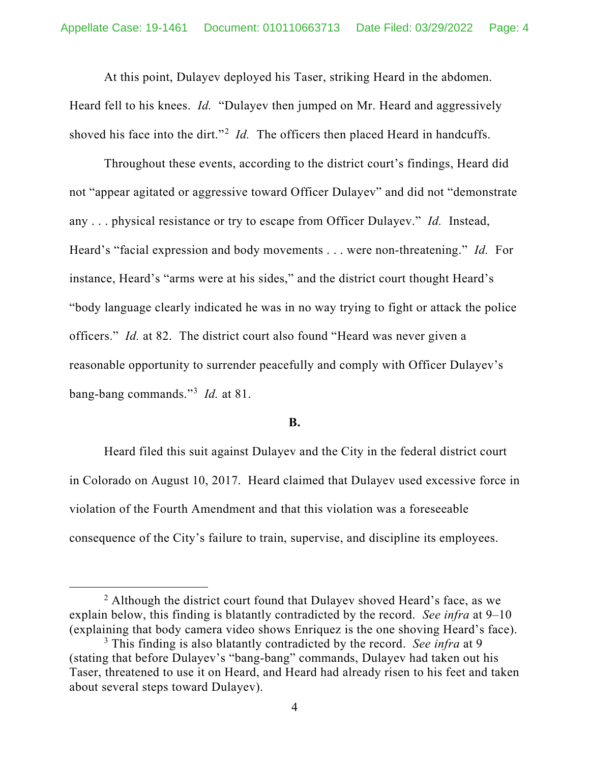At this point, Dulayev deployed his Taser, striking Heard in the abdomen. Heard fell to his knees. *Id.* "Dulayev then jumped on Mr. Heard and aggressively shoved his face into the dirt."<sup>[2](#page-3-0)</sup> *Id*. The officers then placed Heard in handcuffs.

Throughout these events, according to the district court's findings, Heard did not "appear agitated or aggressive toward Officer Dulayev" and did not "demonstrate any . . . physical resistance or try to escape from Officer Dulayev." *Id.* Instead, Heard's "facial expression and body movements . . . were non-threatening." *Id.* For instance, Heard's "arms were at his sides," and the district court thought Heard's "body language clearly indicated he was in no way trying to fight or attack the police officers." *Id.* at 82.The district court also found "Heard was never given a reasonable opportunity to surrender peacefully and comply with Officer Dulayev's bang-bang commands."[3](#page-3-1) *Id.* at 81.

#### **B.**

Heard filed this suit against Dulayev and the City in the federal district court in Colorado on August 10, 2017. Heard claimed that Dulayev used excessive force in violation of the Fourth Amendment and that this violation was a foreseeable consequence of the City's failure to train, supervise, and discipline its employees.

<span id="page-3-0"></span> $2$  Although the district court found that Dulayev shoved Heard's face, as we explain below, this finding is blatantly contradicted by the record. *See infra* at 9–10 (explaining that body camera video shows Enriquez is the one shoving Heard's face).

<span id="page-3-1"></span><sup>3</sup> This finding is also blatantly contradicted by the record. *See infra* at 9 (stating that before Dulayev's "bang-bang" commands, Dulayev had taken out his Taser, threatened to use it on Heard, and Heard had already risen to his feet and taken about several steps toward Dulayev).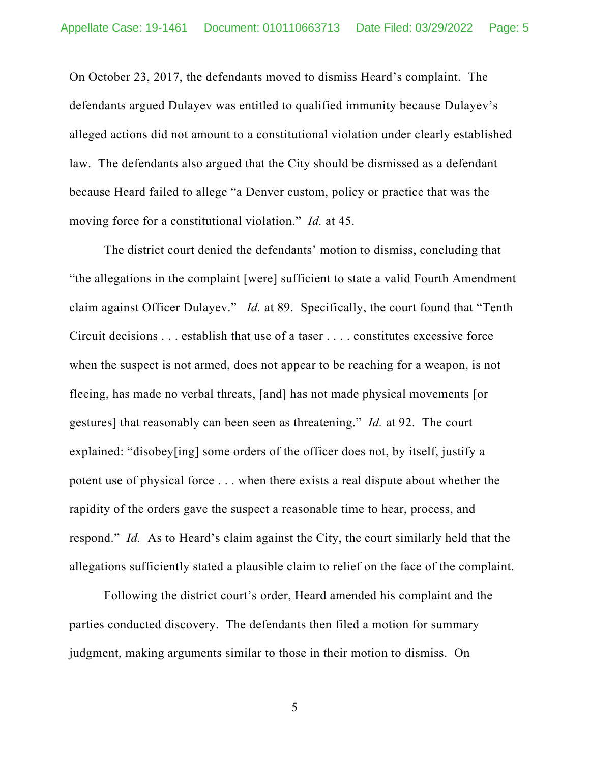On October 23, 2017, the defendants moved to dismiss Heard's complaint. The defendants argued Dulayev was entitled to qualified immunity because Dulayev's alleged actions did not amount to a constitutional violation under clearly established law. The defendants also argued that the City should be dismissed as a defendant because Heard failed to allege "a Denver custom, policy or practice that was the moving force for a constitutional violation." *Id.* at 45.

The district court denied the defendants' motion to dismiss, concluding that "the allegations in the complaint [were] sufficient to state a valid Fourth Amendment claim against Officer Dulayev." *Id.* at 89. Specifically, the court found that "Tenth Circuit decisions . . . establish that use of a taser . . . . constitutes excessive force when the suspect is not armed, does not appear to be reaching for a weapon, is not fleeing, has made no verbal threats, [and] has not made physical movements [or gestures] that reasonably can been seen as threatening." *Id.* at 92. The court explained: "disobey[ing] some orders of the officer does not, by itself, justify a potent use of physical force . . . when there exists a real dispute about whether the rapidity of the orders gave the suspect a reasonable time to hear, process, and respond." *Id.* As to Heard's claim against the City, the court similarly held that the allegations sufficiently stated a plausible claim to relief on the face of the complaint.

Following the district court's order, Heard amended his complaint and the parties conducted discovery. The defendants then filed a motion for summary judgment, making arguments similar to those in their motion to dismiss. On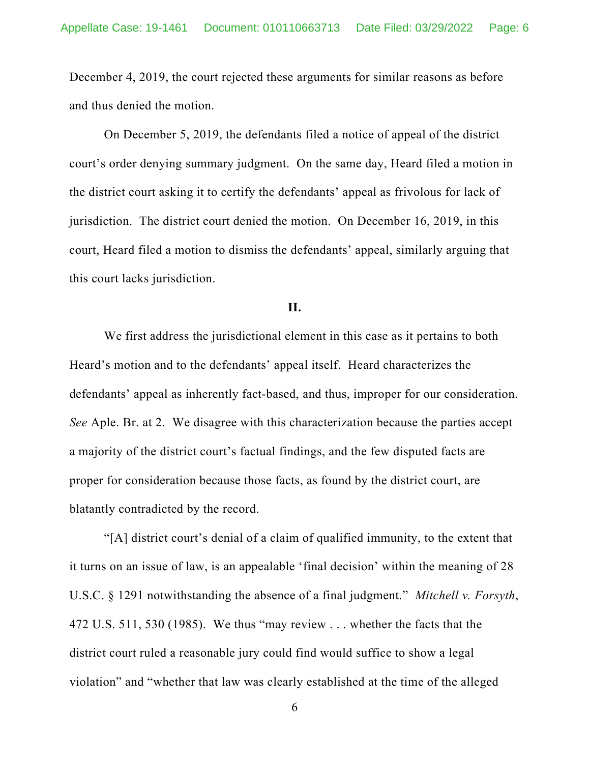December 4, 2019, the court rejected these arguments for similar reasons as before and thus denied the motion.

On December 5, 2019, the defendants filed a notice of appeal of the district court's order denying summary judgment. On the same day, Heard filed a motion in the district court asking it to certify the defendants' appeal as frivolous for lack of jurisdiction. The district court denied the motion. On December 16, 2019, in this court, Heard filed a motion to dismiss the defendants' appeal, similarly arguing that this court lacks jurisdiction.

#### **II.**

We first address the jurisdictional element in this case as it pertains to both Heard's motion and to the defendants' appeal itself. Heard characterizes the defendants' appeal as inherently fact-based, and thus, improper for our consideration. *See* Aple. Br. at 2. We disagree with this characterization because the parties accept a majority of the district court's factual findings, and the few disputed facts are proper for consideration because those facts, as found by the district court, are blatantly contradicted by the record.

"[A] district court's denial of a claim of qualified immunity, to the extent that it turns on an issue of law, is an appealable 'final decision' within the meaning of 28 U.S.C. § 1291 notwithstanding the absence of a final judgment." *Mitchell v. Forsyth*, 472 U.S. 511, 530 (1985). We thus "may review . . . whether the facts that the district court ruled a reasonable jury could find would suffice to show a legal violation" and "whether that law was clearly established at the time of the alleged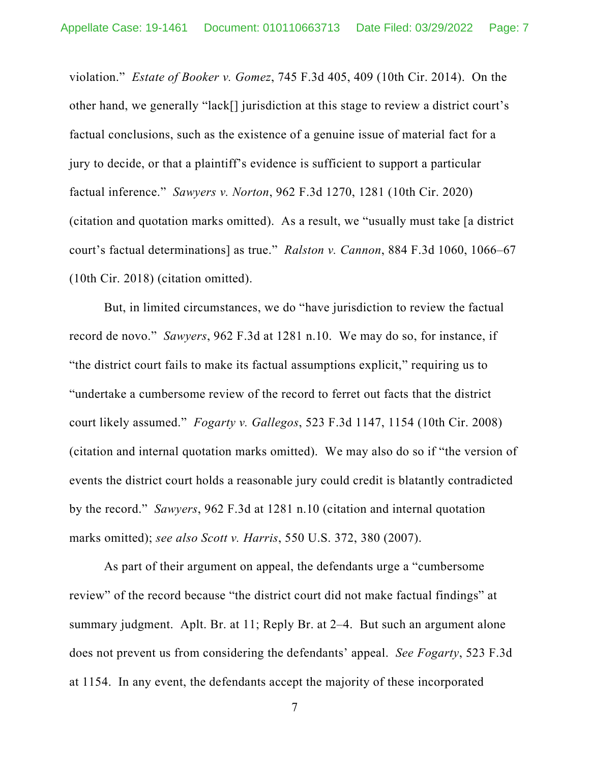violation." *Estate of Booker v. Gomez*, 745 F.3d 405, 409 (10th Cir. 2014). On the other hand, we generally "lack[] jurisdiction at this stage to review a district court's factual conclusions, such as the existence of a genuine issue of material fact for a jury to decide, or that a plaintiff's evidence is sufficient to support a particular factual inference." *Sawyers v. Norton*, 962 F.3d 1270, 1281 (10th Cir. 2020) (citation and quotation marks omitted). As a result, we "usually must take [a district court's factual determinations] as true." *Ralston v. Cannon*, 884 F.3d 1060, 1066–67 (10th Cir. 2018) (citation omitted).

But, in limited circumstances, we do "have jurisdiction to review the factual record de novo." *Sawyers*, 962 F.3d at 1281 n.10. We may do so, for instance, if "the district court fails to make its factual assumptions explicit," requiring us to "undertake a cumbersome review of the record to ferret out facts that the district court likely assumed." *Fogarty v. Gallegos*, 523 F.3d 1147, 1154 (10th Cir. 2008) (citation and internal quotation marks omitted). We may also do so if "the version of events the district court holds a reasonable jury could credit is blatantly contradicted by the record." *Sawyers*, 962 F.3d at 1281 n.10 (citation and internal quotation marks omitted); *see also Scott v. Harris*, 550 U.S. 372, 380 (2007).

As part of their argument on appeal, the defendants urge a "cumbersome review" of the record because "the district court did not make factual findings" at summary judgment. Aplt. Br. at 11; Reply Br. at 2–4. But such an argument alone does not prevent us from considering the defendants' appeal. *See Fogarty*, 523 F.3d at 1154. In any event, the defendants accept the majority of these incorporated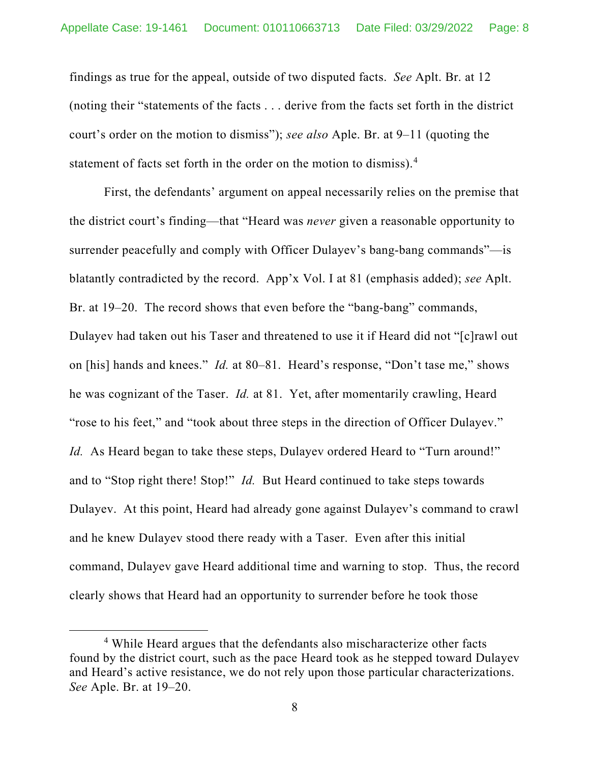findings as true for the appeal, outside of two disputed facts. *See* Aplt. Br. at 12 (noting their "statements of the facts . . . derive from the facts set forth in the district court's order on the motion to dismiss"); *see also* Aple. Br. at 9–11 (quoting the statement of facts set forth in the order on the motion to dismiss).<sup>[4](#page-7-0)</sup>

First, the defendants' argument on appeal necessarily relies on the premise that the district court's finding—that "Heard was *never* given a reasonable opportunity to surrender peacefully and comply with Officer Dulayev's bang-bang commands"—is blatantly contradicted by the record. App'x Vol. I at 81 (emphasis added); *see* Aplt. Br. at 19–20. The record shows that even before the "bang-bang" commands, Dulayev had taken out his Taser and threatened to use it if Heard did not "[c]rawl out on [his] hands and knees." *Id.* at 80–81. Heard's response, "Don't tase me," shows he was cognizant of the Taser. *Id.* at 81. Yet, after momentarily crawling, Heard "rose to his feet," and "took about three steps in the direction of Officer Dulayev." *Id.* As Heard began to take these steps, Dulayev ordered Heard to "Turn around!" and to "Stop right there! Stop!" *Id.* But Heard continued to take steps towards Dulayev. At this point, Heard had already gone against Dulayev's command to crawl and he knew Dulayev stood there ready with a Taser. Even after this initial command, Dulayev gave Heard additional time and warning to stop. Thus, the record clearly shows that Heard had an opportunity to surrender before he took those

<span id="page-7-0"></span><sup>4</sup> While Heard argues that the defendants also mischaracterize other facts found by the district court, such as the pace Heard took as he stepped toward Dulayev and Heard's active resistance, we do not rely upon those particular characterizations. *See* Aple. Br. at 19–20.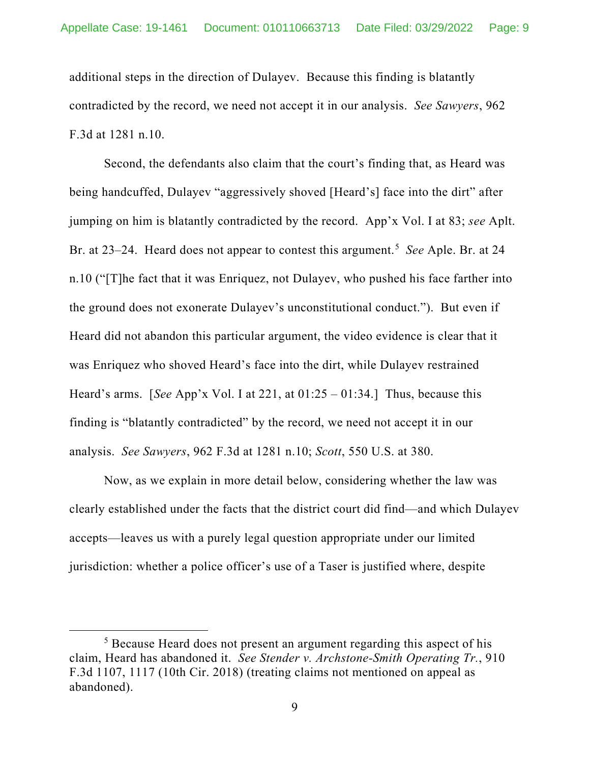additional steps in the direction of Dulayev. Because this finding is blatantly contradicted by the record, we need not accept it in our analysis. *See Sawyers*, 962 F.3d at 1281 n.10.

Second, the defendants also claim that the court's finding that, as Heard was being handcuffed, Dulayev "aggressively shoved [Heard's] face into the dirt" after jumping on him is blatantly contradicted by the record. App'x Vol. I at 83; *see* Aplt. Br. at 23–24. Heard does not appear to contest this argument. [5](#page-8-0) *See* Aple. Br. at 24 n.10 ("[T]he fact that it was Enriquez, not Dulayev, who pushed his face farther into the ground does not exonerate Dulayev's unconstitutional conduct."). But even if Heard did not abandon this particular argument, the video evidence is clear that it was Enriquez who shoved Heard's face into the dirt, while Dulayev restrained Heard's arms. [*See* App'x Vol. I at 221, at 01:25 – 01:34.] Thus, because this finding is "blatantly contradicted" by the record, we need not accept it in our analysis. *See Sawyers*, 962 F.3d at 1281 n.10; *Scott*, 550 U.S. at 380.

Now, as we explain in more detail below, considering whether the law was clearly established under the facts that the district court did find—and which Dulayev accepts—leaves us with a purely legal question appropriate under our limited jurisdiction: whether a police officer's use of a Taser is justified where, despite

<span id="page-8-0"></span><sup>5</sup> Because Heard does not present an argument regarding this aspect of his claim, Heard has abandoned it. *See Stender v. Archstone-Smith Operating Tr.*, 910 F.3d 1107, 1117 (10th Cir. 2018) (treating claims not mentioned on appeal as abandoned).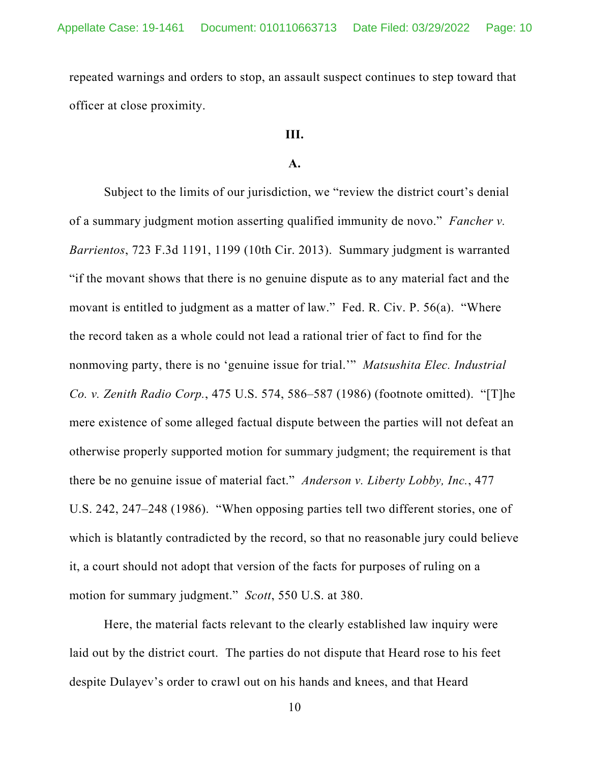repeated warnings and orders to stop, an assault suspect continues to step toward that officer at close proximity.

### **III.**

#### **A.**

Subject to the limits of our jurisdiction, we "review the district court's denial of a summary judgment motion asserting qualified immunity de novo." *Fancher v. Barrientos*, 723 F.3d 1191, 1199 (10th Cir. 2013). Summary judgment is warranted "if the movant shows that there is no genuine dispute as to any material fact and the movant is entitled to judgment as a matter of law." Fed. R. Civ. P. 56(a). "Where the record taken as a whole could not lead a rational trier of fact to find for the nonmoving party, there is no 'genuine issue for trial.'" *Matsushita Elec. Industrial Co. v. Zenith Radio Corp.*, 475 U.S. 574, 586–587 (1986) (footnote omitted). "[T]he mere existence of some alleged factual dispute between the parties will not defeat an otherwise properly supported motion for summary judgment; the requirement is that there be no genuine issue of material fact." *Anderson v. Liberty Lobby, Inc.*, 477 U.S. 242, 247–248 (1986). "When opposing parties tell two different stories, one of which is blatantly contradicted by the record, so that no reasonable jury could believe it, a court should not adopt that version of the facts for purposes of ruling on a motion for summary judgment." *Scott*, 550 U.S. at 380.

Here, the material facts relevant to the clearly established law inquiry were laid out by the district court. The parties do not dispute that Heard rose to his feet despite Dulayev's order to crawl out on his hands and knees, and that Heard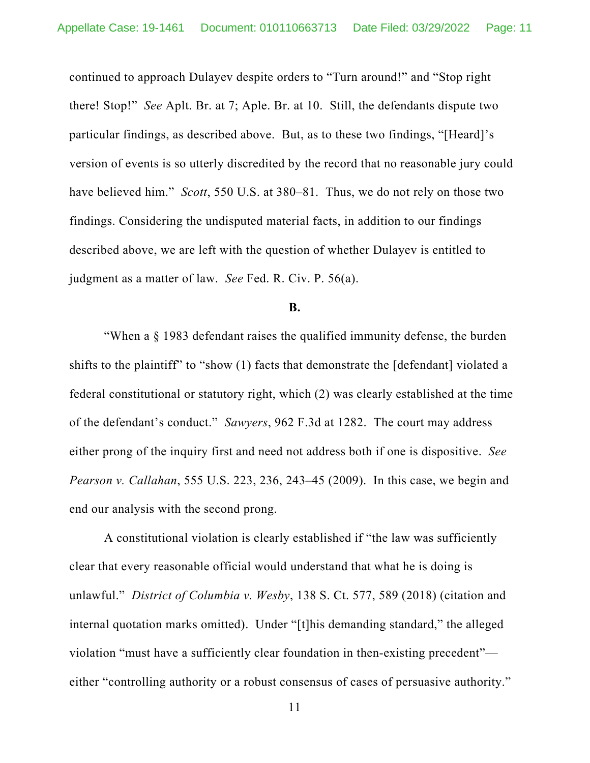continued to approach Dulayev despite orders to "Turn around!" and "Stop right there! Stop!" *See* Aplt. Br. at 7; Aple. Br. at 10. Still, the defendants dispute two particular findings, as described above. But, as to these two findings, "[Heard]'s version of events is so utterly discredited by the record that no reasonable jury could have believed him." *Scott*, 550 U.S. at 380–81. Thus, we do not rely on those two findings. Considering the undisputed material facts, in addition to our findings described above, we are left with the question of whether Dulayev is entitled to judgment as a matter of law. *See* Fed. R. Civ. P. 56(a).

#### **B.**

"When a § 1983 defendant raises the qualified immunity defense, the burden shifts to the plaintiff" to "show (1) facts that demonstrate the [defendant] violated a federal constitutional or statutory right, which (2) was clearly established at the time of the defendant's conduct." *Sawyers*, 962 F.3d at 1282. The court may address either prong of the inquiry first and need not address both if one is dispositive. *See Pearson v. Callahan*, 555 U.S. 223, 236, 243–45 (2009). In this case, we begin and end our analysis with the second prong.

A constitutional violation is clearly established if "the law was sufficiently clear that every reasonable official would understand that what he is doing is unlawful." *District of Columbia v. Wesby*, 138 S. Ct. 577, 589 (2018) (citation and internal quotation marks omitted). Under "[t]his demanding standard," the alleged violation "must have a sufficiently clear foundation in then-existing precedent" either "controlling authority or a robust consensus of cases of persuasive authority."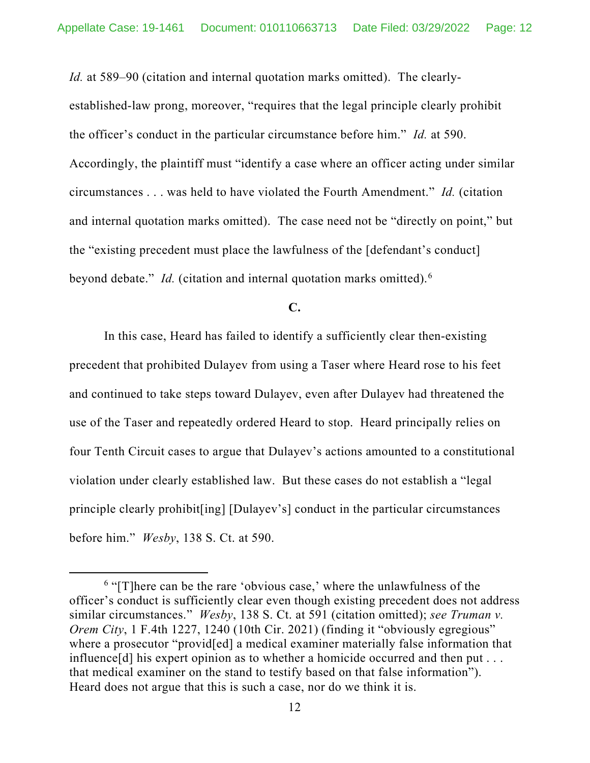*Id.* at 589–90 (citation and internal quotation marks omitted). The clearlyestablished-law prong, moreover, "requires that the legal principle clearly prohibit the officer's conduct in the particular circumstance before him." *Id.* at 590. Accordingly, the plaintiff must "identify a case where an officer acting under similar circumstances . . . was held to have violated the Fourth Amendment." *Id.* (citation and internal quotation marks omitted). The case need not be "directly on point," but the "existing precedent must place the lawfulness of the [defendant's conduct] beyond debate." *Id.* (citation and internal quotation marks omitted).<sup>[6](#page-11-0)</sup>

**C.**

In this case, Heard has failed to identify a sufficiently clear then-existing precedent that prohibited Dulayev from using a Taser where Heard rose to his feet and continued to take steps toward Dulayev, even after Dulayev had threatened the use of the Taser and repeatedly ordered Heard to stop. Heard principally relies on four Tenth Circuit cases to argue that Dulayev's actions amounted to a constitutional violation under clearly established law. But these cases do not establish a "legal principle clearly prohibit[ing] [Dulayev's] conduct in the particular circumstances before him." *Wesby*, 138 S. Ct. at 590.

<span id="page-11-0"></span><sup>&</sup>lt;sup>6</sup> "[T]here can be the rare 'obvious case,' where the unlawfulness of the officer's conduct is sufficiently clear even though existing precedent does not address similar circumstances." *Wesby*, 138 S. Ct. at 591 (citation omitted); *see Truman v. Orem City*, 1 F.4th 1227, 1240 (10th Cir. 2021) (finding it "obviously egregious" where a prosecutor "provid[ed] a medical examiner materially false information that influence[d] his expert opinion as to whether a homicide occurred and then put . . . that medical examiner on the stand to testify based on that false information"). Heard does not argue that this is such a case, nor do we think it is.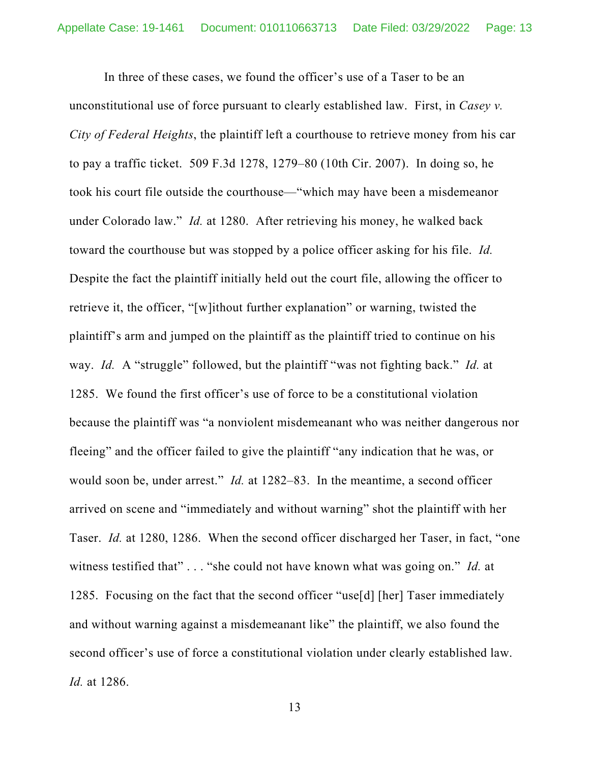In three of these cases, we found the officer's use of a Taser to be an unconstitutional use of force pursuant to clearly established law. First, in *Casey v. City of Federal Heights*, the plaintiff left a courthouse to retrieve money from his car to pay a traffic ticket. 509 F.3d 1278, 1279–80 (10th Cir. 2007). In doing so, he took his court file outside the courthouse—"which may have been a misdemeanor under Colorado law." *Id.* at 1280. After retrieving his money, he walked back toward the courthouse but was stopped by a police officer asking for his file. *Id.* Despite the fact the plaintiff initially held out the court file, allowing the officer to retrieve it, the officer, "[w]ithout further explanation" or warning, twisted the plaintiff's arm and jumped on the plaintiff as the plaintiff tried to continue on his way. *Id.* A "struggle" followed, but the plaintiff "was not fighting back." *Id.* at 1285. We found the first officer's use of force to be a constitutional violation because the plaintiff was "a nonviolent misdemeanant who was neither dangerous nor fleeing" and the officer failed to give the plaintiff "any indication that he was, or would soon be, under arrest." *Id.* at 1282–83. In the meantime, a second officer arrived on scene and "immediately and without warning" shot the plaintiff with her Taser. *Id.* at 1280, 1286. When the second officer discharged her Taser, in fact, "one witness testified that" . . . "she could not have known what was going on." *Id.* at 1285. Focusing on the fact that the second officer "use[d] [her] Taser immediately and without warning against a misdemeanant like" the plaintiff, we also found the second officer's use of force a constitutional violation under clearly established law. *Id.* at 1286.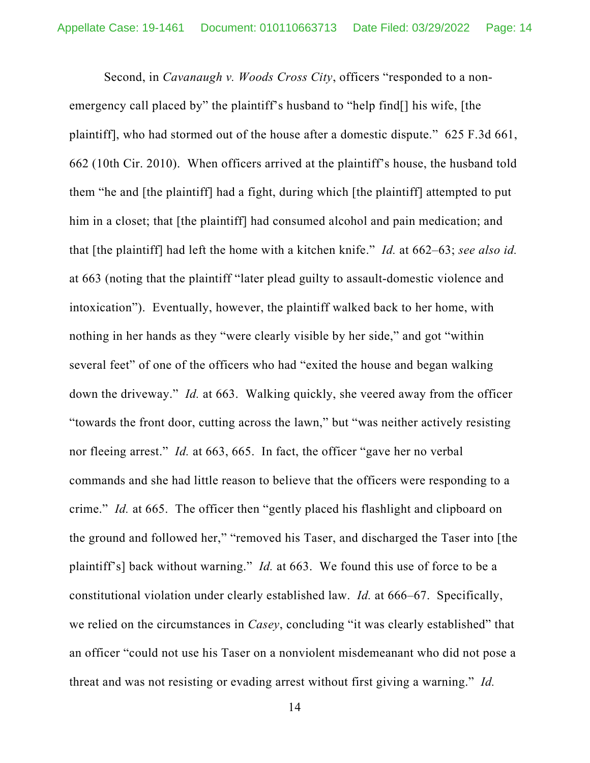Second, in *Cavanaugh v. Woods Cross City*, officers "responded to a nonemergency call placed by" the plaintiff's husband to "help find[] his wife, [the plaintiff], who had stormed out of the house after a domestic dispute." 625 F.3d 661, 662 (10th Cir. 2010). When officers arrived at the plaintiff's house, the husband told them "he and [the plaintiff] had a fight, during which [the plaintiff] attempted to put him in a closet; that [the plaintiff] had consumed alcohol and pain medication; and that [the plaintiff] had left the home with a kitchen knife." *Id.* at 662–63; *see also id.* at 663 (noting that the plaintiff "later plead guilty to assault-domestic violence and intoxication"). Eventually, however, the plaintiff walked back to her home, with nothing in her hands as they "were clearly visible by her side," and got "within several feet" of one of the officers who had "exited the house and began walking down the driveway." *Id.* at 663. Walking quickly, she veered away from the officer "towards the front door, cutting across the lawn," but "was neither actively resisting nor fleeing arrest." *Id.* at 663, 665. In fact, the officer "gave her no verbal commands and she had little reason to believe that the officers were responding to a crime." *Id.* at 665. The officer then "gently placed his flashlight and clipboard on the ground and followed her," "removed his Taser, and discharged the Taser into [the plaintiff's] back without warning." *Id.* at 663. We found this use of force to be a constitutional violation under clearly established law. *Id.* at 666–67. Specifically, we relied on the circumstances in *Casey*, concluding "it was clearly established" that an officer "could not use his Taser on a nonviolent misdemeanant who did not pose a threat and was not resisting or evading arrest without first giving a warning." *Id.*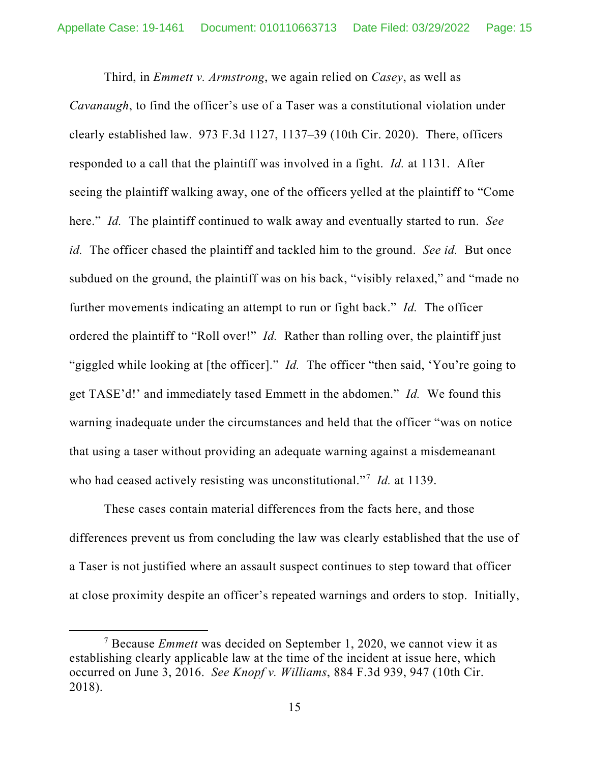Third, in *Emmett v. Armstrong*, we again relied on *Casey*, as well as *Cavanaugh*, to find the officer's use of a Taser was a constitutional violation under clearly established law. 973 F.3d 1127, 1137–39 (10th Cir. 2020). There, officers responded to a call that the plaintiff was involved in a fight. *Id.* at 1131. After seeing the plaintiff walking away, one of the officers yelled at the plaintiff to "Come here." *Id.* The plaintiff continued to walk away and eventually started to run. *See id.* The officer chased the plaintiff and tackled him to the ground. *See id.* But once subdued on the ground, the plaintiff was on his back, "visibly relaxed," and "made no further movements indicating an attempt to run or fight back." *Id.* The officer ordered the plaintiff to "Roll over!" *Id.* Rather than rolling over, the plaintiff just "giggled while looking at [the officer]." *Id.* The officer "then said, 'You're going to get TASE'd!' and immediately tased Emmett in the abdomen." *Id.* We found this warning inadequate under the circumstances and held that the officer "was on notice that using a taser without providing an adequate warning against a misdemeanant who had ceased actively resisting was unconstitutional."[7](#page-14-0) *Id.* at 1139.

These cases contain material differences from the facts here, and those differences prevent us from concluding the law was clearly established that the use of a Taser is not justified where an assault suspect continues to step toward that officer at close proximity despite an officer's repeated warnings and orders to stop. Initially,

<span id="page-14-0"></span><sup>7</sup> Because *Emmett* was decided on September 1, 2020, we cannot view it as establishing clearly applicable law at the time of the incident at issue here, which occurred on June 3, 2016. *See Knopf v. Williams*, 884 F.3d 939, 947 (10th Cir. 2018).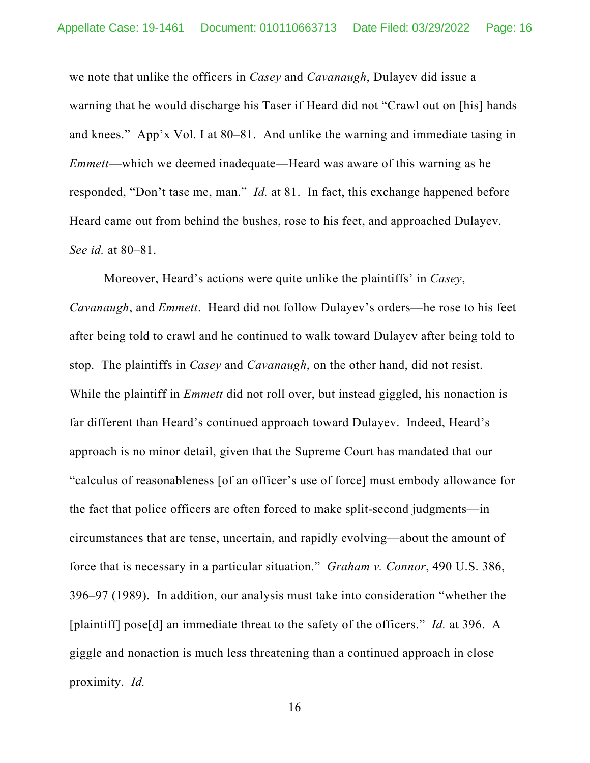we note that unlike the officers in *Casey* and *Cavanaugh*, Dulayev did issue a warning that he would discharge his Taser if Heard did not "Crawl out on [his] hands and knees." App'x Vol. I at 80–81. And unlike the warning and immediate tasing in *Emmett*—which we deemed inadequate—Heard was aware of this warning as he responded, "Don't tase me, man." *Id.* at 81. In fact, this exchange happened before Heard came out from behind the bushes, rose to his feet, and approached Dulayev. *See id.* at 80–81.

Moreover, Heard's actions were quite unlike the plaintiffs' in *Casey*, *Cavanaugh*, and *Emmett*. Heard did not follow Dulayev's orders—he rose to his feet after being told to crawl and he continued to walk toward Dulayev after being told to stop. The plaintiffs in *Casey* and *Cavanaugh*, on the other hand, did not resist. While the plaintiff in *Emmett* did not roll over, but instead giggled, his nonaction is far different than Heard's continued approach toward Dulayev. Indeed, Heard's approach is no minor detail, given that the Supreme Court has mandated that our "calculus of reasonableness [of an officer's use of force] must embody allowance for the fact that police officers are often forced to make split-second judgments—in circumstances that are tense, uncertain, and rapidly evolving—about the amount of force that is necessary in a particular situation." *Graham v. Connor*, 490 U.S. 386, 396–97 (1989). In addition, our analysis must take into consideration "whether the [plaintiff] pose[d] an immediate threat to the safety of the officers." *Id.* at 396. A giggle and nonaction is much less threatening than a continued approach in close proximity. *Id.*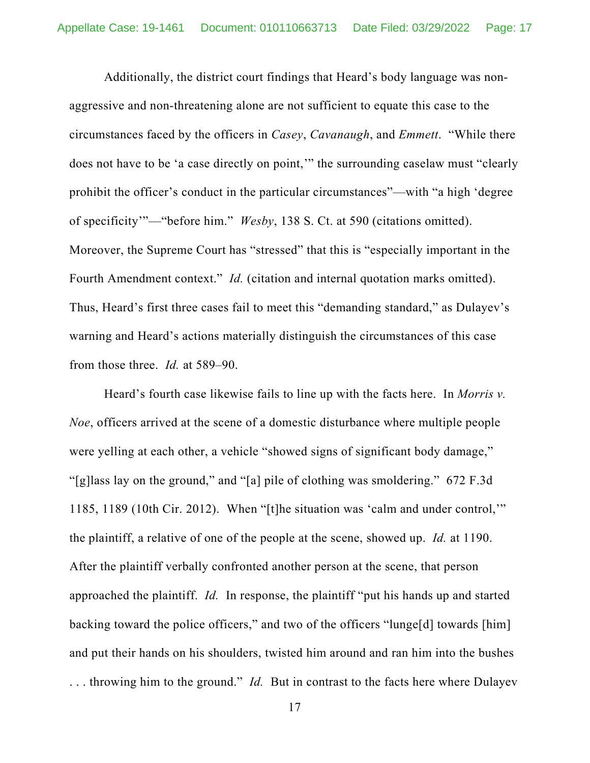Additionally, the district court findings that Heard's body language was nonaggressive and non-threatening alone are not sufficient to equate this case to the circumstances faced by the officers in *Casey*, *Cavanaugh*, and *Emmett*. "While there does not have to be 'a case directly on point,'" the surrounding caselaw must "clearly prohibit the officer's conduct in the particular circumstances"—with "a high 'degree of specificity'"—"before him." *Wesby*, 138 S. Ct. at 590 (citations omitted). Moreover, the Supreme Court has "stressed" that this is "especially important in the Fourth Amendment context." *Id.* (citation and internal quotation marks omitted). Thus, Heard's first three cases fail to meet this "demanding standard," as Dulayev's warning and Heard's actions materially distinguish the circumstances of this case from those three. *Id.* at 589–90.

Heard's fourth case likewise fails to line up with the facts here. In *Morris v. Noe*, officers arrived at the scene of a domestic disturbance where multiple people were yelling at each other, a vehicle "showed signs of significant body damage," "[g]lass lay on the ground," and "[a] pile of clothing was smoldering." 672 F.3d 1185, 1189 (10th Cir. 2012). When "[t]he situation was 'calm and under control,'" the plaintiff, a relative of one of the people at the scene, showed up. *Id.* at 1190. After the plaintiff verbally confronted another person at the scene, that person approached the plaintiff. *Id.* In response, the plaintiff "put his hands up and started backing toward the police officers," and two of the officers "lunge[d] towards [him] and put their hands on his shoulders, twisted him around and ran him into the bushes . . . throwing him to the ground." *Id.* But in contrast to the facts here where Dulayev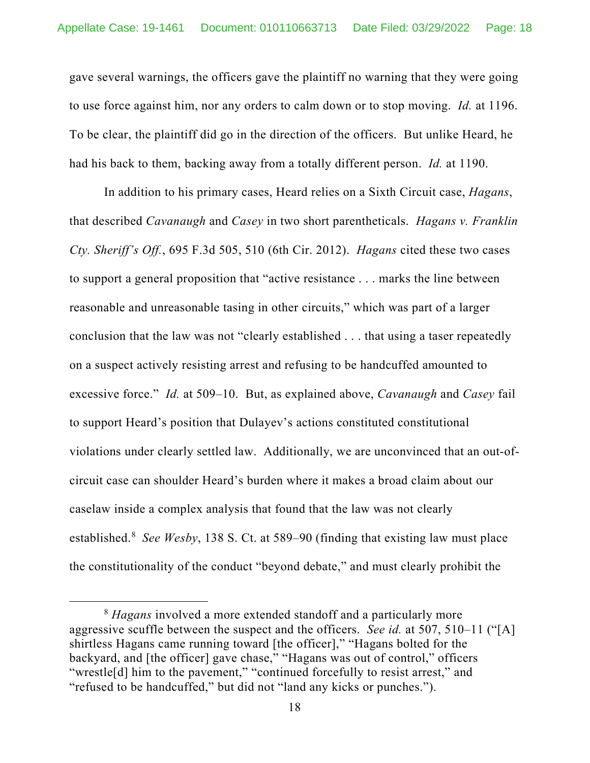gave several warnings, the officers gave the plaintiff no warning that they were going to use force against him, nor any orders to calm down or to stop moving. *Id.* at 1196. To be clear, the plaintiff did go in the direction of the officers. But unlike Heard, he had his back to them, backing away from a totally different person. *Id.* at 1190.

In addition to his primary cases, Heard relies on a Sixth Circuit case, *Hagans*, that described *Cavanaugh* and *Casey* in two short parentheticals. *Hagans v. Franklin Cty. Sheriff's Off.*, 695 F.3d 505, 510 (6th Cir. 2012). *Hagans* cited these two cases to support a general proposition that "active resistance . . . marks the line between reasonable and unreasonable tasing in other circuits," which was part of a larger conclusion that the law was not "clearly established . . . that using a taser repeatedly on a suspect actively resisting arrest and refusing to be handcuffed amounted to excessive force." *Id.* at 509–10. But, as explained above, *Cavanaugh* and *Casey* fail to support Heard's position that Dulayev's actions constituted constitutional violations under clearly settled law. Additionally, we are unconvinced that an out-ofcircuit case can shoulder Heard's burden where it makes a broad claim about our caselaw inside a complex analysis that found that the law was not clearly established.<sup>[8](#page-17-0)</sup> See Wesby, 138 S. Ct. at 589–90 (finding that existing law must place the constitutionality of the conduct "beyond debate," and must clearly prohibit the

<span id="page-17-0"></span><sup>8</sup> *Hagans* involved a more extended standoff and a particularly more aggressive scuffle between the suspect and the officers. *See id.* at 507, 510–11 ("[A] shirtless Hagans came running toward [the officer]," "Hagans bolted for the backyard, and [the officer] gave chase," "Hagans was out of control," officers "wrestle<sup>[d]</sup> him to the pavement," "continued forcefully to resist arrest," and "refused to be handcuffed," but did not "land any kicks or punches.").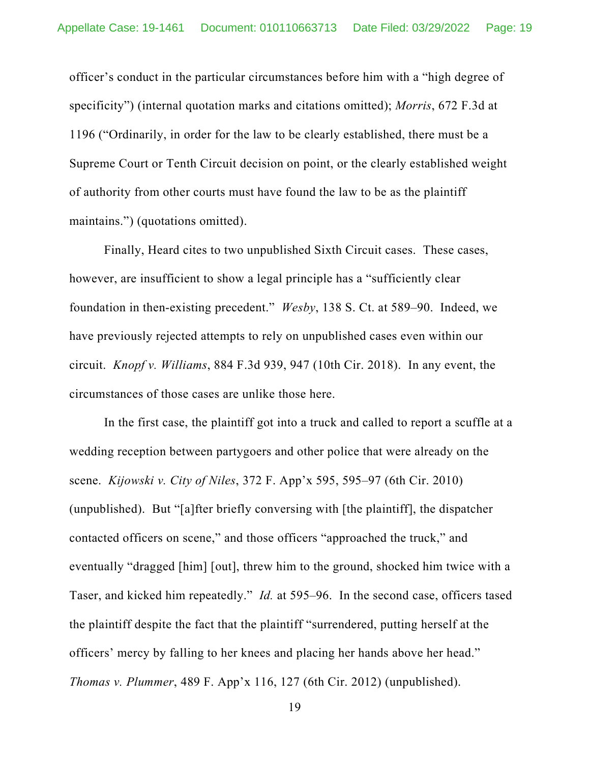officer's conduct in the particular circumstances before him with a "high degree of specificity") (internal quotation marks and citations omitted); *Morris*, 672 F.3d at 1196 ("Ordinarily, in order for the law to be clearly established, there must be a Supreme Court or Tenth Circuit decision on point, or the clearly established weight of authority from other courts must have found the law to be as the plaintiff maintains.") (quotations omitted).

Finally, Heard cites to two unpublished Sixth Circuit cases. These cases, however, are insufficient to show a legal principle has a "sufficiently clear foundation in then-existing precedent." *Wesby*, 138 S. Ct. at 589–90. Indeed, we have previously rejected attempts to rely on unpublished cases even within our circuit. *Knopf v. Williams*, 884 F.3d 939, 947 (10th Cir. 2018). In any event, the circumstances of those cases are unlike those here.

In the first case, the plaintiff got into a truck and called to report a scuffle at a wedding reception between partygoers and other police that were already on the scene. *Kijowski v. City of Niles*, 372 F. App'x 595, 595–97 (6th Cir. 2010) (unpublished). But "[a]fter briefly conversing with [the plaintiff], the dispatcher contacted officers on scene," and those officers "approached the truck," and eventually "dragged [him] [out], threw him to the ground, shocked him twice with a Taser, and kicked him repeatedly." *Id.* at 595–96. In the second case, officers tased the plaintiff despite the fact that the plaintiff "surrendered, putting herself at the officers' mercy by falling to her knees and placing her hands above her head." *Thomas v. Plummer*, 489 F. App'x 116, 127 (6th Cir. 2012) (unpublished).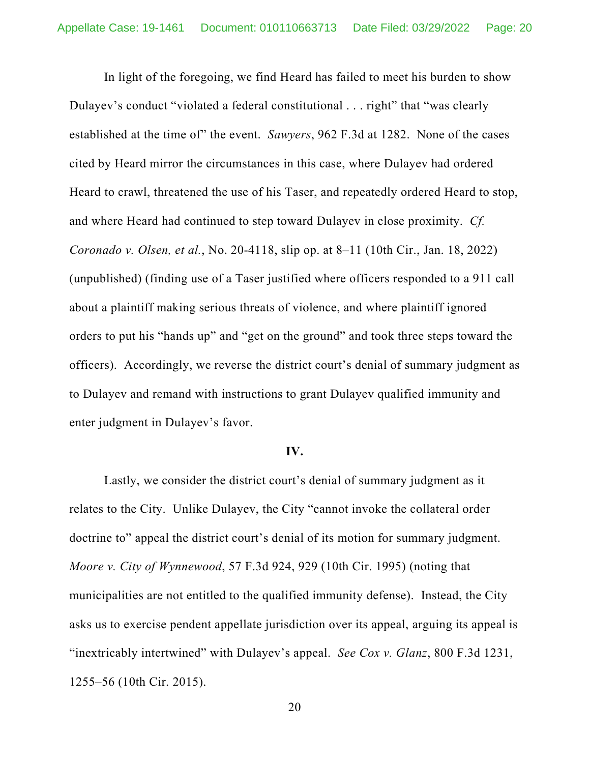In light of the foregoing, we find Heard has failed to meet his burden to show Dulayev's conduct "violated a federal constitutional . . . right" that "was clearly established at the time of" the event. *Sawyers*, 962 F.3d at 1282. None of the cases cited by Heard mirror the circumstances in this case, where Dulayev had ordered Heard to crawl, threatened the use of his Taser, and repeatedly ordered Heard to stop, and where Heard had continued to step toward Dulayev in close proximity. *Cf. Coronado v. Olsen, et al.*, No. 20-4118, slip op. at 8–11 (10th Cir., Jan. 18, 2022) (unpublished) (finding use of a Taser justified where officers responded to a 911 call about a plaintiff making serious threats of violence, and where plaintiff ignored orders to put his "hands up" and "get on the ground" and took three steps toward the officers). Accordingly, we reverse the district court's denial of summary judgment as to Dulayev and remand with instructions to grant Dulayev qualified immunity and enter judgment in Dulayev's favor.

#### **IV.**

Lastly, we consider the district court's denial of summary judgment as it relates to the City. Unlike Dulayev, the City "cannot invoke the collateral order doctrine to" appeal the district court's denial of its motion for summary judgment. *Moore v. City of Wynnewood*, 57 F.3d 924, 929 (10th Cir. 1995) (noting that municipalities are not entitled to the qualified immunity defense). Instead, the City asks us to exercise pendent appellate jurisdiction over its appeal, arguing its appeal is "inextricably intertwined" with Dulayev's appeal. *See Cox v. Glanz*, 800 F.3d 1231, 1255–56 (10th Cir. 2015).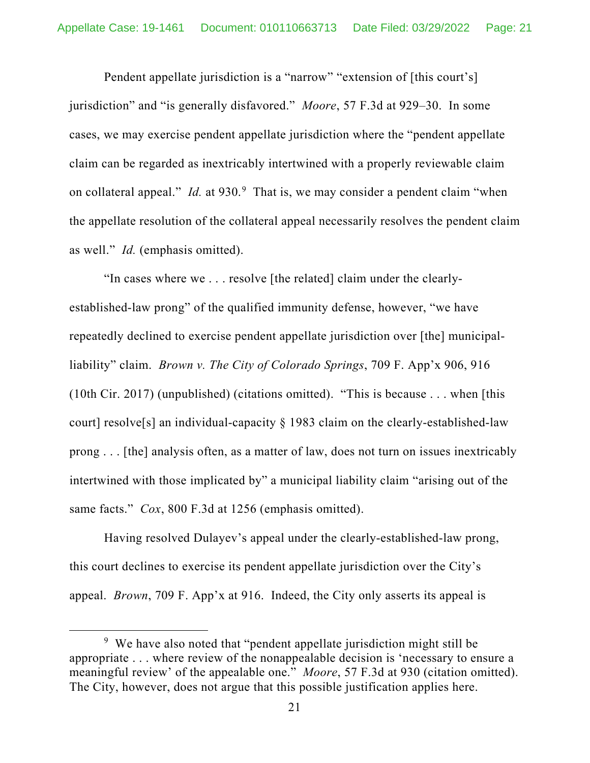Pendent appellate jurisdiction is a "narrow" "extension of [this court's] jurisdiction" and "is generally disfavored." *Moore*, 57 F.3d at 929–30. In some cases, we may exercise pendent appellate jurisdiction where the "pendent appellate claim can be regarded as inextricably intertwined with a properly reviewable claim on collateral appeal." *Id.* at [9](#page-20-0)30.<sup>9</sup> That is, we may consider a pendent claim "when the appellate resolution of the collateral appeal necessarily resolves the pendent claim as well." *Id.* (emphasis omitted).

"In cases where we . . . resolve [the related] claim under the clearlyestablished-law prong" of the qualified immunity defense, however, "we have repeatedly declined to exercise pendent appellate jurisdiction over [the] municipalliability" claim. *Brown v. The City of Colorado Springs*, 709 F. App'x 906, 916 (10th Cir. 2017) (unpublished) (citations omitted). "This is because . . . when [this court] resolve[s] an individual-capacity § 1983 claim on the clearly-established-law prong . . . [the] analysis often, as a matter of law, does not turn on issues inextricably intertwined with those implicated by" a municipal liability claim "arising out of the same facts." *Cox*, 800 F.3d at 1256 (emphasis omitted).

Having resolved Dulayev's appeal under the clearly-established-law prong, this court declines to exercise its pendent appellate jurisdiction over the City's appeal. *Brown*, 709 F. App'x at 916. Indeed, the City only asserts its appeal is

<span id="page-20-0"></span><sup>&</sup>lt;sup>9</sup> We have also noted that "pendent appellate jurisdiction might still be appropriate . . . where review of the nonappealable decision is 'necessary to ensure a meaningful review' of the appealable one." *Moore*, 57 F.3d at 930 (citation omitted). The City, however, does not argue that this possible justification applies here.